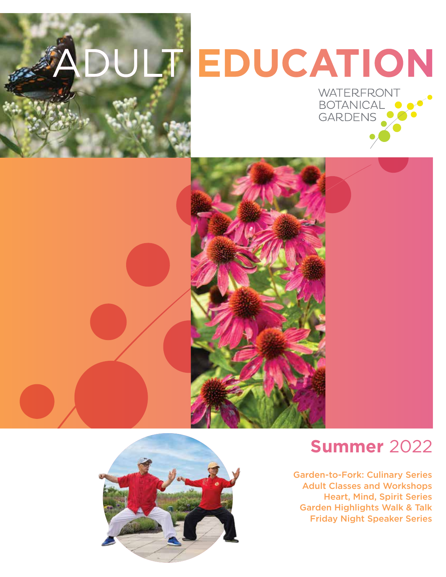

# EDUCATION





# **Summer** 2022

Garden-to-Fork: Culinary Series Adult Classes and Workshops Heart, Mind, Spirit Series Garden Highlights Walk & Talk Friday Night Speaker Series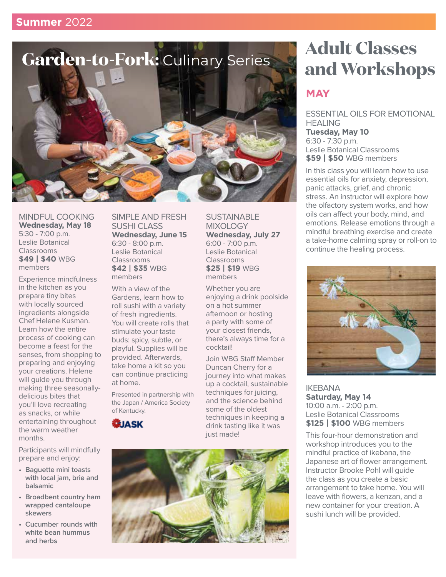

MINDFUL COOKING **Wednesday, May 18**  5:30 - 7:00 p.m. Leslie Botanical Classrooms **\$49 | \$40** WBG members

Experience mindfulness in the kitchen as you prepare tiny bites with locally sourced ingredients alongside Chef Helene Kusman. Learn how the entire process of cooking can become a feast for the senses, from shopping to preparing and enjoying your creations. Helene will guide you through making three seasonallydelicious bites that you'll love recreating as snacks, or while entertaining throughout the warm weather months.

Participants will mindfully prepare and enjoy:

- **Baguette mini toasts with local jam, brie and balsamic**
- **Broadbent country ham wrapped cantaloupe skewers**
- **Cucumber rounds with white bean hummus and herbs**

SIMPLE AND FRESH SUSHI CLASS **Wednesday, June 15**  6:30 - 8:00 p.m. Leslie Botanical Classrooms **\$42 | \$35** WBG members

With a view of the Gardens, learn how to roll sushi with a variety of fresh ingredients. You will create rolls that stimulate your taste buds: spicy, subtle, or playful. Supplies will be provided. Afterwards, take home a kit so you can continue practicing at home.

Presented in partnership with the Japan / America Society of Kentucky.





**SUSTAINABLE** MIXOI OGY

Whether you are

on a hot summer afternoon or hosting a party with some of your closest friends, there's always time for a

cocktail!

just made!

enjoying a drink poolside

Join WBG Staff Member Duncan Cherry for a journey into what makes up a cocktail, sustainable techniques for juicing, and the science behind some of the oldest techniques in keeping a drink tasting like it was

**Wednesday, July 27** 6:00 - 7:00 p.m. Leslie Botanical Classrooms **\$25 | \$19** WBG members

# **Adult Classes and Workshops**

## **MAY**

ESSENTIAL OILS FOR EMOTIONAL HEALING **Tuesday, May 10**  6:30 - 7:30 p.m. Leslie Botanical Classrooms **\$59 | \$50** WBG members

In this class you will learn how to use essential oils for anxiety, depression, panic attacks, grief, and chronic stress. An instructor will explore how the olfactory system works, and how oils can affect your body, mind, and emotions. Release emotions through a mindful breathing exercise and create a take-home calming spray or roll-on to continue the healing process.



IKEBANA **Saturday, May 14** 10:00 a.m. - 2:00 p.m. Leslie Botanical Classrooms **\$125 | \$100** WBG members

This four-hour demonstration and workshop introduces you to the mindful practice of ikebana, the Japanese art of flower arrangement. Instructor Brooke Pohl will guide the class as you create a basic arrangement to take home. You will leave with flowers, a kenzan, and a new container for your creation. A sushi lunch will be provided.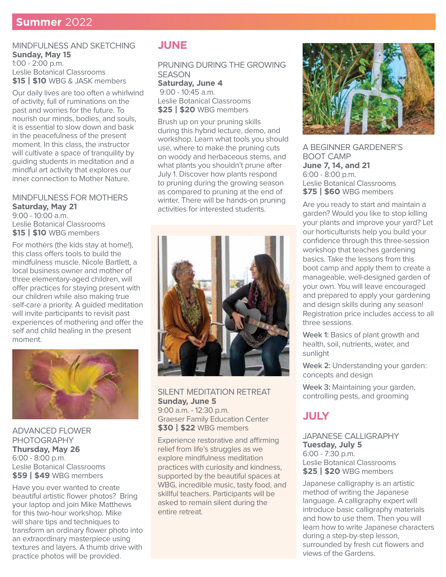#### MINDFULNESS AND SKETCHING **Sunday, May 15** 1:00 - 2:00 p.m. Leslie Botanical Classrooms **\$15 | \$10** WBG & JASK members

Our daily lives are too often a whirlwind of activity, full of ruminations on the past and worries for the future. To nourish our minds, bodies, and souls, it is essential to slow down and bask in the peacefulness of the present moment. In this class, the instructor will cultivate a space of tranquility by guiding students in meditation and a mindful art activity that explores our inner connection to Mother Nature.

#### MINDFULNESS FOR MOTHERS **Saturday, May 21**

9:00 - 10:00 a.m. Leslie Botanical Classrooms **\$15 | \$10** WBG members

For mothers (the kids stay at home!), this class offers tools to build the mindfulness muscle. Nicole Bartlett, a local business owner and mother of three elementary-aged children, will offer practices for staying present with our children while also making true self-care a priority. A guided meditation will invite participants to revisit past experiences of mothering and offer the self and child healing in the present moment.



ADVANCED FLOWER PHOTOGRAPHY **Thursday, May 26** 6:00 - 8:00 p.m. Leslie Botanical Classrooms **\$59 | \$49** WBG members

Have you ever wanted to create beautiful artistic flower photos? Bring your laptop and join Mike Matthews for this two-hour workshop. Mike will share tips and techniques to transform an ordinary flower photo into an extraordinary masterpiece using textures and layers. A thumb drive with practice photos will be provided.

### **JUNE**

PRUNING DURING THE GROWING **SEASON Saturday, June 4** 9:00 - 10:45 a.m. Leslie Botanical Classrooms

**\$25 | \$20** WBG members

Brush up on your pruning skills during this hybrid lecture, demo, and workshop. Learn what tools you should use, where to make the pruning cuts on woody and herbaceous stems, and what plants you shouldn't prune after July 1. Discover how plants respond to pruning during the growing season as compared to pruning at the end of winter. There will be hands-on pruning activities for interested students.



SILENT MEDITATION RETREAT **Sunday, June 5** 9:00 a.m. - 12:30 p.m. Graeser Family Education Center **\$30 | \$22** WBG members

Experience restorative and affirming relief from life's struggles as we explore mindfulness meditation practices with curiosity and kindness, supported by the beautiful spaces at WBG, incredible music, tasty food, and skillful teachers. Participants will be asked to remain silent during the entire retreat.



A BEGINNER GARDENER'S BOOT CAMP **June 7, 14, and 21** 6:00 - 8:00 p.m. Leslie Botanical Classrooms **\$75 | \$60** WBG members

Are you ready to start and maintain a garden? Would you like to stop killing your plants and improve your yard? Let our horticulturists help you build your confidence through this three-session workshop that teaches gardening basics. Take the lessons from this boot camp and apply them to create a manageable, well-designed garden of your own. You will leave encouraged and prepared to apply your gardening and design skills during any season! Registration price includes access to all three sessions.

**Week 1:** Basics of plant growth and health, soil, nutrients, water, and sunlight

Week 2: Understanding your garden: concepts and design

**Week 3:** Maintaining your garden, controlling pests, and grooming

## **JULY**

JAPANESE CALLIGRAPHY **Tuesday, July 5** 6:00 - 7:30 p.m. Leslie Botanical Classrooms **\$25 | \$20** WBG members

Japanese calligraphy is an artistic method of writing the Japanese language. A calligraphy expert will introduce basic calligraphy materials and how to use them. Then you will learn how to write Japanese characters during a step-by-step lesson, surrounded by fresh cut flowers and views of the Gardens.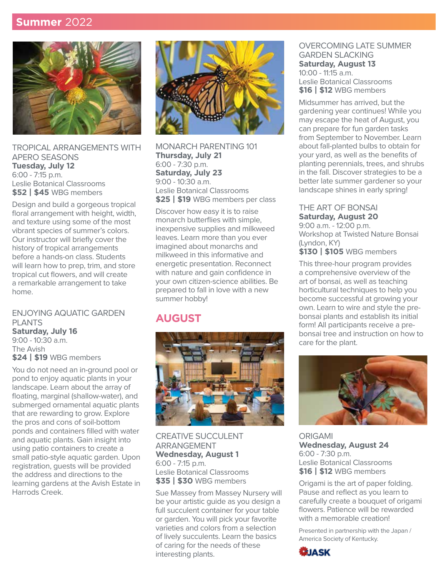## **Summer** 2022



TROPICAL ARRANGEMENTS WITH APERO SEASONS **Tuesday, July 12** 6:00 - 7:15 p.m. Leslie Botanical Classrooms **\$52 | \$45** WBG members

Design and build a gorgeous tropical floral arrangement with height, width, and texture using some of the most vibrant species of summer's colors. Our instructor will briefly cover the history of tropical arrangements before a hands-on class. Students will learn how to prep, trim, and store tropical cut flowers, and will create a remarkable arrangement to take home.

ENJOYING AQUATIC GARDEN PLANTS **Saturday, July 16** 9:00 - 10:30 a.m. The Avish **\$24 | \$19** WBG members

You do not need an in-ground pool or pond to enjoy aquatic plants in your landscape. Learn about the array of floating, marginal (shallow-water), and submerged ornamental aquatic plants that are rewarding to grow. Explore the pros and cons of soil-bottom ponds and containers filled with water and aquatic plants. Gain insight into using patio containers to create a small patio-style aquatic garden. Upon registration, guests will be provided the address and directions to the learning gardens at the Avish Estate in Harrods Creek.



MONARCH PARENTING 101 **Thursday, July 21** 6:00 - 7:30 p.m. **Saturday, July 23** 9:00 - 10:30 a.m. Leslie Botanical Classrooms **\$25 | \$19** WBG members per class

Discover how easy it is to raise monarch butterflies with simple, inexpensive supplies and milkweed leaves. Learn more than you ever imagined about monarchs and milkweed in this informative and energetic presentation. Reconnect with nature and gain confidence in your own citizen-science abilities. Be prepared to fall in love with a new summer hobby!

## **AUGUST**



CREATIVE SUCCULENT ARRANGEMENT **Wednesday, August 1** 6:00 - 7:15 p.m. Leslie Botanical Classrooms **\$35 | \$30** WBG members

Sue Massey from Massey Nursery will be your artistic guide as you design a full succulent container for your table or garden. You will pick your favorite varieties and colors from a selection of lively succulents. Learn the basics of caring for the needs of these interesting plants.

#### OVERCOMING LATE SUMMER GARDEN SLACKING **Saturday, August 13** 10:00 - 11:15 a.m. Leslie Botanical Classrooms **\$16 | \$12** WBG members

Midsummer has arrived, but the gardening year continues! While you may escape the heat of August, you can prepare for fun garden tasks from September to November. Learn about fall-planted bulbs to obtain for your yard, as well as the benefits of planting perennials, trees, and shrubs in the fall. Discover strategies to be a better late summer gardener so your landscape shines in early spring!

#### THE ART OF BONSAI **Saturday, August 20**

9:00 a.m. - 12:00 p.m. Workshop at Twisted Nature Bonsai (Lyndon, KY) **\$130 | \$105** WBG members

This three-hour program provides a comprehensive overview of the art of bonsai, as well as teaching horticultural techniques to help you become successful at growing your own. Learn to wire and style the prebonsai plants and establish its initial form! All participants receive a prebonsai tree and instruction on how to care for the plant.



ORIGAMI **Wednesday, August 24** 6:00 - 7:30 p.m. Leslie Botanical Classrooms **\$16 | \$12** WBG members

Origami is the art of paper folding. Pause and reflect as you learn to carefully create a bouquet of origami flowers. Patience will be rewarded with a memorable creation!

Presented in partnership with the Japan / America Society of Kentucky.

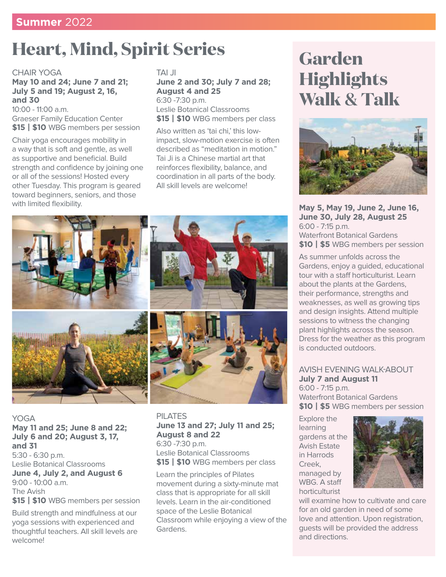# **Heart, Mind, Spirit Series**

#### CHAIR YOGA **May 10 and 24; June 7 and 21; July 5 and 19; August 2, 16, and 30**

10:00 - 11:00 a.m. Graeser Family Education Center **\$15 | \$10** WBG members per session

Chair yoga encourages mobility in a way that is soft and gentle, as well as supportive and beneficial. Build strength and confidence by joining one or all of the sessions! Hosted every other Tuesday. This program is geared toward beginners, seniors, and those with limited flexibility.

#### TAI JI **June 2 and 30; July 7 and 28; August 4 and 25** 6:30 -7:30 p.m. Leslie Botanical Classrooms **\$15 | \$10** WBG members per class

Also written as 'tai chi,' this lowimpact, slow-motion exercise is often described as "meditation in motion." Tai Ji is a Chinese martial art that reinforces flexibility, balance, and coordination in all parts of the body. All skill levels are welcome!



YOGA **May 11 and 25; June 8 and 22; July 6 and 20; August 3, 17, and 31** 5:30 - 6:30 p.m. Leslie Botanical Classrooms **June 4, July 2, and August 6** 9:00 - 10:00 a.m. The Avish **\$15 | \$10** WBG members per session

Build strength and mindfulness at our yoga sessions with experienced and thoughtful teachers. All skill levels are welcome!

PILATES **June 13 and 27; July 11 and 25; August 8 and 22** 6:30 -7:30 p.m. Leslie Botanical Classrooms **\$15 | \$10** WBG members per class

Learn the principles of Pilates movement during a sixty-minute mat class that is appropriate for all skill levels. Learn in the air-conditioned space of the Leslie Botanical Classroom while enjoying a view of the Gardens.

# **Garden Highlights Walk & Talk**



**May 5, May 19, June 2, June 16, June 30, July 28, August 25** 6:00 - 7:15 p.m. Waterfront Botanical Gardens **\$10 | \$5** WBG members per session

As summer unfolds across the Gardens, enjoy a guided, educational tour with a staff horticulturist. Learn about the plants at the Gardens, their performance, strengths and weaknesses, as well as growing tips and design insights. Attend multiple sessions to witness the changing plant highlights across the season. Dress for the weather as this program is conducted outdoors.

#### AVISH EVENING WALK-ABOUT **July 7 and August 11** 6:00 - 7:15 p.m.

Waterfront Botanical Gardens **\$10 | \$5** WBG members per session

Explore the learning gardens at the Avish Estate in Harrods Creek, managed by WBG. A staff horticulturist



will examine how to cultivate and care for an old garden in need of some love and attention. Upon registration, guests will be provided the address and directions.